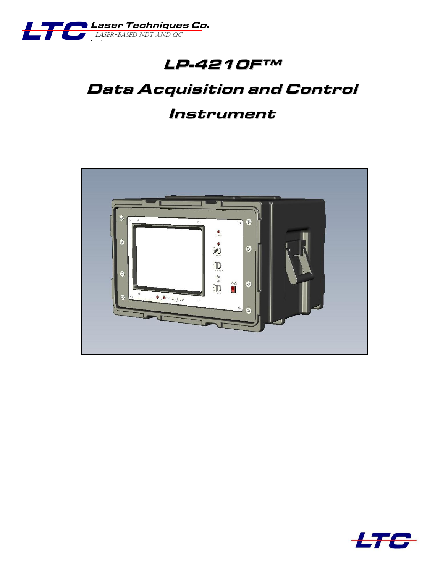

# **LP-4210F™**

# **Data Acquisition and Control**

## **Instrument**



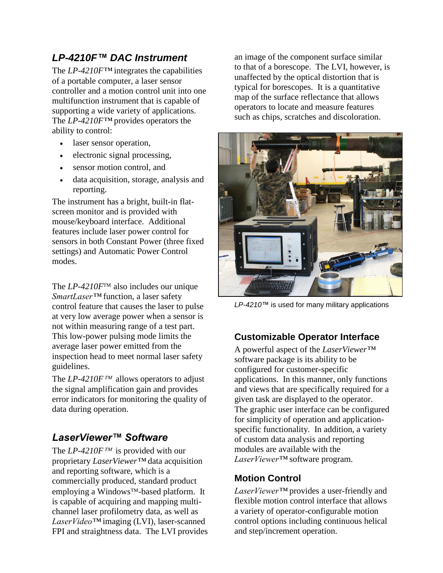### *LP-4210F™ DAC Instrument*

The *LP-4210F™* integrates the capabilities of a portable computer, a laser sensor controller and a motion control unit into one multifunction instrument that is capable of supporting a wide variety of applications. The *LP-4210F™* provides operators the ability to control:

- laser sensor operation,
- electronic signal processing,
- sensor motion control, and
- data acquisition, storage, analysis and reporting.

The instrument has a bright, built-in flatscreen monitor and is provided with mouse/keyboard interface. Additional features include laser power control for sensors in both Constant Power (three fixed settings) and Automatic Power Control modes.

The *LP-4210F*™ also includes our unique *SmartLaser™* function, a laser safety control feature that causes the laser to pulse at very low average power when a sensor is not within measuring range of a test part. This low-power pulsing mode limits the average laser power emitted from the inspection head to meet normal laser safety guidelines.

The  $LP-4210F^{TM}$  allows operators to adjust the signal amplification gain and provides error indicators for monitoring the quality of data during operation.

### *LaserViewer™ Software*

The *LP-4210F*<sup>™</sup> is provided with our proprietary *LaserViewer™* data acquisition and reporting software, which is a commercially produced, standard product employing a Windows<sup>™</sup>-based platform. It is capable of acquiring and mapping multichannel laser profilometry data, as well as *LaserVideo™* imaging (LVI), laser-scanned FPI and straightness data. The LVI provides an image of the component surface similar to that of a borescope. The LVI, however, is unaffected by the optical distortion that is typical for borescopes. It is a quantitative map of the surface reflectance that allows operators to locate and measure features such as chips, scratches and discoloration.



*LP-4210™* is used for many military applications

#### **Customizable Operator Interface**

A powerful aspect of the *LaserViewer™* software package is its ability to be configured for customer-specific applications. In this manner, only functions and views that are specifically required for a given task are displayed to the operator. The graphic user interface can be configured for simplicity of operation and applicationspecific functionality. In addition, a variety of custom data analysis and reporting modules are available with the *LaserViewer™* software program.

#### **Motion Control**

*LaserViewer™* provides a user-friendly and flexible motion control interface that allows a variety of operator-configurable motion control options including continuous helical and step/increment operation.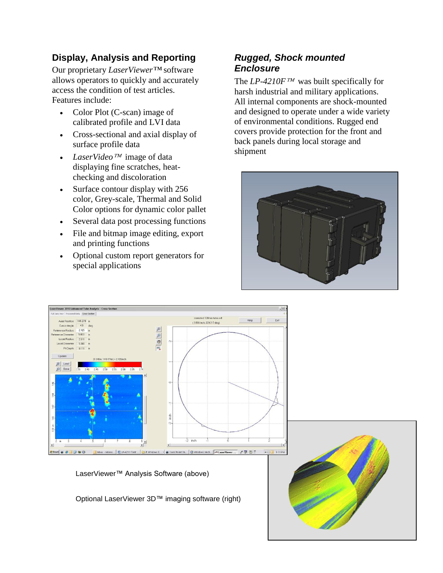#### **Display, Analysis and Reporting**

Our proprietary *LaserViewer™* software allows operators to quickly and accurately access the condition of test articles. Features include:

- Color Plot (C-scan) image of calibrated profile and LVI data
- Cross-sectional and axial display of surface profile data
- LaserVideo<sup> $TM$ </sup> image of data displaying fine scratches, heatchecking and discoloration
- Surface contour display with 256 color, Grey-scale, Thermal and Solid Color options for dynamic color pallet
- Several data post processing functions
- File and bitmap image editing, export and printing functions
- Optional custom report generators for special applications

#### *Rugged, Shock mounted Enclosure*

The *LP-4210F*<sup>*TM*</sup> was built specifically for harsh industrial and military applications. All internal components are shock-mounted and designed to operate under a wide variety of environmental conditions. Rugged end covers provide protection for the front and back panels during local storage and shipment





LaserViewer™ Analysis Software (above)

Optional LaserViewer 3D™ imaging software (right)